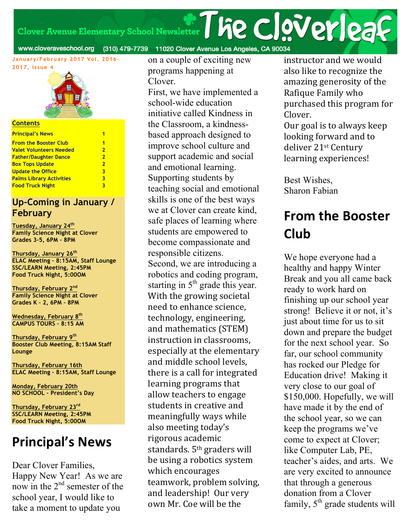Clover Avenue Elementary School Newsletter **The CloVerlea** 

www.cloveraveschool.org (310) 479-7739 11020 Clover Avenue Los Angeles, CA 90034

**January/February 2017 Vol. 2016- 2017, Issue 4**



#### **Contents**

| <b>Principal's News</b>         |                |
|---------------------------------|----------------|
| <b>From the Booster Club</b>    | 1              |
| Valet Volunteers Needed         | $\overline{2}$ |
| <b>Father/Daughter Dance</b>    | $\overline{2}$ |
| <b>Box Tops Update</b>          | $\overline{2}$ |
| <b>Update the Office</b>        | 3              |
| <b>Palms Library Activities</b> | 3              |
| <b>Food Truck Night</b>         | 3              |
|                                 |                |

#### **Up-Coming in January / February**

**Tuesday, January 24th Family Science Night at Clover Grades 3-5, 6PM – 8PM**

**Thursday, January 26th ELAC Meeting – 8:15AM, Staff Lounge SSC/LEARN Meeting, 2:45PM Food Truck Night, 5:00OM**

**Thursday, February 2nd Family Science Night at Clover Grades K – 2, 6PM – 8PM**

**Wednesday, February 8th CAMPUS TOURS – 8:15 AM**

**Thursday, February 9th Booster Club Meeting, 8:15AM Staff Lounge**

**Thursday, February 16th ELAC Meeting – 8:15AM, Staff Lounge**

**Monday, February 20th NO SCHOOL – President's Day**

**Thursday, February 23rd SSC/LEARN Meeting, 2:45PM Food Truck Night, 5:00OM**

## **Principal's News**

Dear Clover Families, Happy New Year! As we are now in the  $2<sup>nd</sup>$  semester of the school year, I would like to take a moment to update you

on a couple of exciting new programs happening at Clover.

First, we have implemented a school-wide education initiative called Kindness in the Classroom, a kindnessbased approach designed to improve school culture and support academic and social and emotional learning. Supporting students by teaching social and emotional skills is one of the best ways we at Clover can create kind, safe places of learning where students are empowered to become compassionate and responsible citizens. Second, we are introducing a robotics and coding program, starting in  $5<sup>th</sup>$  grade this year. With the growing societal need to enhance science, technology, engineering, and mathematics (STEM) instruction in classrooms. especially at the elementary and middle school levels, there is a call for integrated learning programs that allow teachers to engage students in creative and meaningfully ways while also meeting today's rigorous academic standards.  $5<sup>th</sup>$  graders will be using a robotics system which encourages teamwork, problem solving, and leadership! Our very own Mr. Coe will be the

instructor and we would also like to recognize the amazing generosity of the Rafique Family who purchased this program for Clover.

Our goal is to always keep looking forward and to deliver 21<sup>st</sup> Century learning experiences!

Best Wishes, Sharon Fabian

# **From the Booster Club**

We hope everyone had a healthy and happy Winter Break and you all came back ready to work hard on finishing up our school year strong! Believe it or not, it's just about time for us to sit down and prepare the budget for the next school year. So far, our school community has rocked our Pledge for Education drive! Making it very close to our goal of \$150,000. Hopefully, we will have made it by the end of the school year, so we can keep the programs we've come to expect at Clover; like Computer Lab, PE, teacher's aides, and arts. We are very excited to announce that through a generous donation from a Clover family,  $5<sup>th</sup>$  grade students will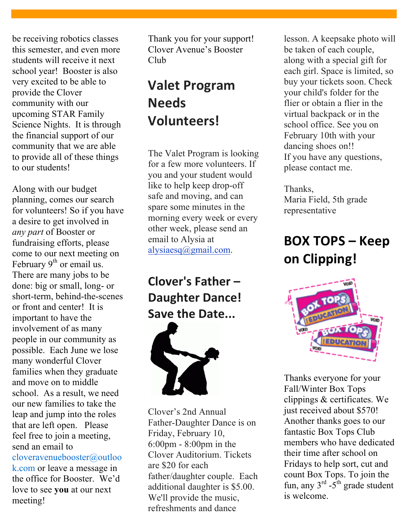be receiving robotics classes this semester, and even more students will receive it next school year! Booster is also very excited to be able to provide the Clover community with our upcoming STAR Family Science Nights. It is through the financial support of our community that we are able to provide all of these things to our students!

Along with our budget planning, comes our search for volunteers! So if you have a desire to get involved in *any part* of Booster or fundraising efforts, please come to our next meeting on February  $9<sup>th</sup>$  or email us. There are many jobs to be done: big or small, long- or short-term, behind-the-scenes or front and center! It is important to have the involvement of as many people in our community as possible. Each June we lose many wonderful Clover families when they graduate and move on to middle school. As a result, we need our new families to take the leap and jump into the roles that are left open. Please feel free to join a meeting, send an email to

cloveravenuebooster@outloo k.com or leave a message in the office for Booster. We'd love to see **you** at our next meeting!

Thank you for your support! Clover Avenue's Booster Club

# **Valet Program Needs Volunteers!**

The Valet Program is looking for a few more volunteers. If you and your student would like to help keep drop-off safe and moving, and can spare some minutes in the morning every week or every other week, please send an email to Alysia at alysiaesq@gmail.com.

## **Clover's Father – Daughter Dance! Save the Date...**



Clover's 2nd Annual Father-Daughter Dance is on Friday, February 10, 6:00pm - 8:00pm in the Clover Auditorium. Tickets are \$20 for each father/daughter couple. Each additional daughter is \$5.00. We'll provide the music, refreshments and dance

lesson. A keepsake photo will be taken of each couple, along with a special gift for each girl. Space is limited, so buy your tickets soon. Check your child's folder for the flier or obtain a flier in the virtual backpack or in the school office. See you on February 10th with your dancing shoes on!! If you have any questions, please contact me.

Thanks, Maria Field, 5th grade representative

# **BOX TOPS – Keep on Clipping!**



Thanks everyone for your Fall/Winter Box Tops clippings & certificates. We just received about \$570! Another thanks goes to our fantastic Box Tops Club members who have dedicated their time after school on Fridays to help sort, cut and count Box Tops. To join the fun, any  $3^{rd}$  - $5^{th}$  grade student is welcome.